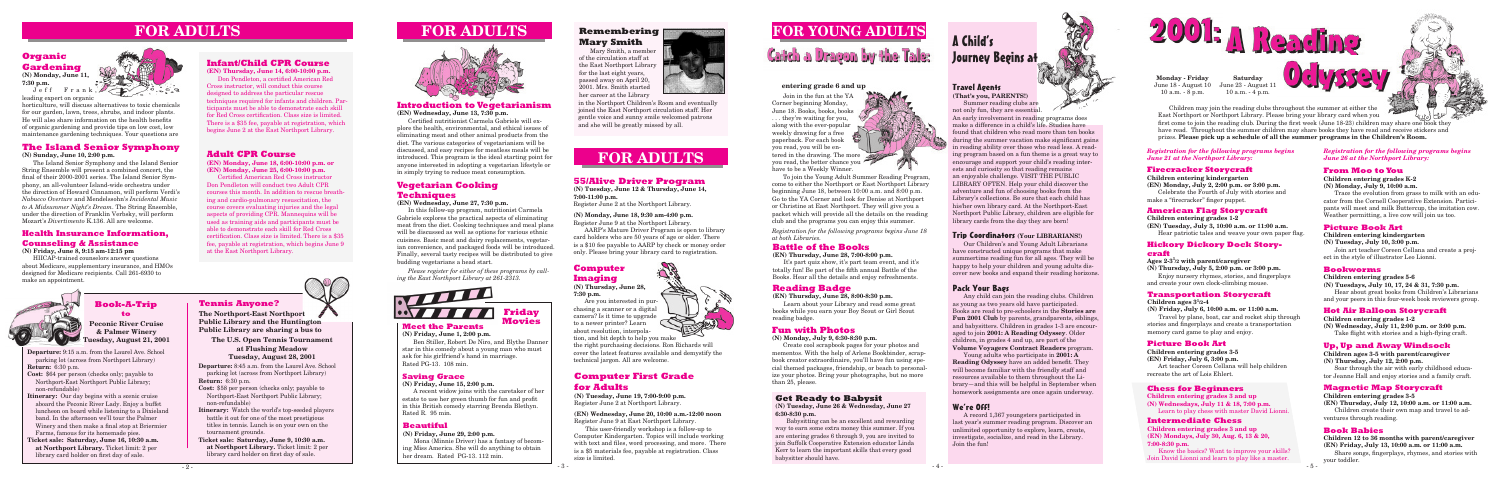**Departure:** 9:15 a.m. from the Laurel Ave. School parking lot (across from Northport Library) **Return:** 6:30 p.m.

- **Cost:** \$64 per person (checks only; payable to Northport-East Northport Public Library; non-refundable)
- **Itinerary:** Our day begins with a scenic cruise aboard the Peconic River Lady. Enjoy a buffet luncheon on board while listening to a Dixieland band. In the afternoon we'll tour the Palmer Winery and then make a final stop at Briermier Farms, famous for its homemade pies.
- **Ticket sale: Saturday, June 16, 10:30 a.m. at Northport Library.** Ticket limit: 2 per library card holder on first day of sale.



Ben Stiller, Robert De Niro, and Blythe Danner star in this comedy about a young man who must ask for his girlfriend's hand in marriage. Rated PG-13. 108 min.

# **Book-A-Trip to**

**Peconic River Cruise & Palmer Winery Tuesday, August 21, 2001**

# **FOR YOUNG ADULTS**

Catch a Dragon by the Tale:

# **Health Insurance Information, Counseling & Assistance**

#### **(N) Friday, June 8, 9:15 am-12:15 pm**

HIICAP-trained counselors answer questions about Medicare, supplementary insurance, and HMOs designed for Medicare recipients. Call 261-6930 to make an appointment.

# **FOR ADULTS**

# **Meet the Parents**

**(N) Friday, June 1, 2:00 p.m.**



# **Saving Grace**

**(N) Friday, June 15, 2:00 p.m.**

A recent widow joins with the caretaker of her estate to use her green thumb for fun and profit in this British comedy starring Brenda Blethyn. Rated R. 95 min.

# **Get Ready to Babysit**

**(N) Tuesday, June 26 & Wednesday, June 27 6:30-8:30 p.m.**

Babysitting can be an excellent and rewarding way to earn some extra money this summer. If you are entering grades 6 through 9, you are invited to join Suffolk Cooperative Extension educator Linda Kerr to learn the important skills that every good babysitter should have.

**(N) Monday, June 11, 7:30 p.m.** Jeff Frank,

# **The Island Senior Symphony**

**(N) Sunday, June 10, 2:00 p.m.**

The Island Senior Symphony and the Island Senior String Ensemble will present a combined concert, the final of their 2000-2001 series. The Island Senior Symphony, an all-volunteer Island-wide orchestra under the direction of Howard Cinnamon, will perform Verdi's *Nabucco Overture* and Mendelssohn's *Incidental Music to A Midsummer Night's Dream*. The String Ensemble, under the direction of Franklin Verbsky, will perform Mozart's *Divertimento* K.136. All are welcome.

# **Adult CPR Course**

**(EN) Monday, June 18, 6:00-10:00 p.m. or (EN) Monday, June 25, 6:00-10:00 p.m.**

Certified American Red Cross instructor Don Pendleton will conduct two Adult CPR courses this month. In addition to rescue breathing and cardio-pulmonary resuscitation, the course covers evaluating injuries and the legal aspects of providing CPR. Mannequins will be used as training aids and participants must be able to demonstrate each skill for Red Cross certification. Class size is limited. There is a \$35 fee, payable at registration, which begins June 9 at the East Northport Library.



# **Infant/Child CPR Course**

**(EN) Thursday, June 14, 6:00-10:00 p.m.** 

Don Pendleton, a certified American Red Cross instructor, will conduct this course designed to address the particular rescue techniques required for infants and children. Participants must be able to demonstrate each skill for Red Cross certification. Class size is limited. There is a \$35 fee, payable at registration, which begins June 2 at the East Northport Library.

# **Organic Gardening**

leading expert on organic

horticulture, will discuss alternatives to toxic chemicals for our garden, lawn, trees, shrubs, and indoor plants. He will also share information on the health benefits of organic gardening and provide tips on low cost, low maintenance gardening techniques. Your questions are

# **Vegetarian Cooking Techniques**

**(EN) Wednesday, June 27, 7:30 p.m.**

In this follow-up program, nutritionist Carmela Gabriele explores the practical aspects of eliminating meat from the diet. Cooking techniques and meal plans will be discussed as well as options for various ethnic cuisines. Basic meat and dairy replacements, vegetarian convenience, and packaged foods will be introduced. Finally, several tasty recipes will be distributed to give budding vegetarians a head start.

# **Computer First Grade for Adults**

**(N) Tuesday, June 19, 7:00-9:00 p.m.** Register June 2 at Northport Library.

#### **(EN) Wednesday, June 20, 10:00 a.m.-12:00 noon** Register June 9 at East Northport Library.

This user-friendly workshop is a follow-up to Computer Kindergarten. Topics will include working with text and files, word processing, and more. There is a \$5 materials fee, payable at registration. Class size is limited.

# **Fun with Photos**

**(N) Monday, July 9, 6:30-8:30 p.m.**

# A Child's Journey Begins at



Create cool scrapbook pages for your photos and mementos. With the help of Arlene Bookbinder, scrapbook creator extraordinaire, you'll have fun using special themed packages, friendship, or beach to personalize your photos. Bring your photographs, but no more than 25, please.

# **Introduction to Vegetarianism**

**(EN) Wednesday, June 13, 7:30 p.m.**

Certified nutritionist Carmela Gabriele will explore the health, environmental, and ethical issues of eliminating meat and other animal products from the diet. The various categories of vegetarianism will be discussed, and easy recipes for meatless meals will be introduced. This program is the ideal starting point for anyone interested in adopting a vegetarian lifestyle or in simply trying to reduce meat consumption.

> *Registration for the following programs begins June 18 at both Libraries.*

#### **entering grade 6 and up**

Join in the fun at the YA Corner beginning Monday, June 18. Books, books, books . they're waiting for you, along with the ever-popular weekly drawing for a free paperback. For each book you read, you will be entered in the drawing. The more you read, the better chance you have to be a Weekly Winner.

To join the Young Adult Summer Reading Program, come to either the Northport or East Northport Library beginning June 18, between 10:00 a.m. and 8:00 p.m. Go to the YA Corner and look for Denise at Northport or Christine at East Northport. They will give you a packet which will provide all the details on the reading club and the programs you can enjoy this summer.

# **Battle of the Books**

#### **(EN) Thursday, June 28, 7:00-8:00 p.m.**

It's part quiz show, it's part team event, and it's totally fun! Be part of the fifth annual Battle of the Books. Hear all the details and enjoy refreshments.

# **Reading Badge**

**(EN) Thursday, June 28, 8:00-8:30 p.m.**

Learn about your Library and read some great books while you earn your Boy Scout or Girl Scout reading badge.

# **Beautiful**

**(N) Friday, June 29, 2:00 p.m.**

Mona (Minnie Driver) has a fantasy of becoming Miss America. She will do anything to obtain her dream. Rated PG-13. 112 min.





**Monday - Friday** June 18 - August 10 June 23 - August 11 10 a.m. - 8 p.m.

**Saturday** 10 a.m. - 4 p.m.

Children may join the reading clubs throughout the summer at either the East Northport or Northport Library. Please bring your library card when you first come to join the reading club. During the first week (June 18-23) children may share one book they have read. Throughout the summer children may share books they have read and receive stickers and prizes. **Please pick up a schedule of all the summer programs in the Children's Room.**

#### **Firecracker Storycraft**

**Children entering kindergarten (EN) Monday, July 2, 2:00 p.m. or 3:00 p.m.** Celebrate the Fourth of July with stories and make a "firecracker" finger puppet.

#### *Registration for the following programs begins June 21 at the Northport Library:*

#### **American Flag Storycraft**

**Children entering grades 1-2 (EN) Tuesday, July 3, 10:00 a.m. or 11:00 a.m.** Hear patriotic tales and weave your own paper flag.

#### **Hickory Dickory Dock Storycraft**

**Ages 2-3<sup>1</sup> /2 with parent/caregiver**

**(N) Thursday, July 5, 2:00 p.m. or 3:00 p.m.** Enjoy nursery rhymes, stories, and fingerplays and create your own clock-climbing mouse.

#### **Transportation Storycraft**

Children ages  $3^{1/2-4}$ 

**(N) Friday, July 6, 10:00 a.m. or 11:00 a.m.**

Travel by plane, boat, car and rocket ship through stories and fingerplays and create a transportation memory card game to play and enjoy.

### **Picture Book Art**

**Children entering grades 3-5**

**(EN) Friday, July 6, 3:00 p.m.**

Art teacher Coreen Cellana will help children recreate the art of Lois Ehlert.

#### *Registration for the following programs begins June 26 at the Northport Library:*

### **From Moo to You**

**Children entering grades K-2 (N) Monday, July 9, 10:00 a.m.**

Trace the evolution from grass to milk with an educator from the Cornell Cooperative Extension. Participants will meet and milk Buttercup, the imitation cow. Weather permitting, a live cow will join us too.

#### **Picture Book Art**

#### **Children entering kindergarten (N) Tuesday, July 10, 3:00 p.m.**

Join art teacher Coreen Cellana and create a project in the style of illustrator Leo Lionni.

#### **Bookworms**

**Children entering grades 5-6**

**(N) Tuesdays, July 10, 17, 24 & 31, 7:30 p.m.** Hear about great books from Children's Librarians and your peers in this four-week book reviewers group.

#### **Hot Air Balloon Storycraft**

**Children entering grades 1-2 (N) Wednesday, July 11, 2:00 p.m. or 3:00 p.m.** Take flight with stories and a high-flying craft.

# **Magnetic Map Storycraft**

**Children entering grades 3-5 (EN) Thursday, July 12, 10:00 a.m. or 11:00 a.m.**

Children create their own map and travel to adventures through reading.

#### **Book Babies**

**Children 12 to 36 months with parent/caregiver (EN) Friday, July 13, 10:00 a.m. or 11:00 a.m.**

Share songs, fingerplays, rhymes, and stories with your toddler.

### Travel Agents **(That's you, PARENTS!)**

Summer reading clubs are not only fun, they are essential.

An early involvement in reading programs does make a difference in a child's life. Studies have found that children who read more than ten books during the summer vacation make significant gains in reading ability over those who read less. A reading program based on a fun theme is a great way to encourage and support your child's reading interests and curiosity so that reading remains an enjoyable challenge. VISIT THE PUBLIC LIBRARY OFTEN. Help your child discover the adventure and fun of choosing books from the Library's collections. Be sure that each child has his/her own library card. At the Northport-East Northport Public Library, children are eligible for library cards from the day they are born!

# Trip Coordinators **(Your LIBRARIANS!)**

Our Children's and Young Adult Librarians have constructed unique programs that make summertime reading fun for all ages. They will be happy to help your children and young adults discover new books and expand their reading horizons.

# Pack Your Bags

Any child can join the reading clubs. Children as young as two years old have participated. Books are read to pre-schoolers in the **Stories are Fun 2001 Club** by parents, grandparents, siblings, and babysitters. Children in grades 1-3 are encouraged to join **2001: A Reading Odyssey**. Older children, in grades 4 and up, are part of the **Volume Voyagers Contract Readers** program.

Young adults who participate in **2001: A Reading Odyssey** have an added benefit. They will become familiar with the friendly staff and resources available to them throughout the Library—and this will be helpful in September when homework assignments are once again underway.

# We're Off!

A record 1,367 youngsters participated in last year's summer reading program. Discover an unlimited opportunity to explore, learn, create, investigate, socialize, and read in the Library. Join the fun!







*Please register for either of these programs by calling the East Northport Library at 261-2313.*

# **Remembering Mary Smith**

Mary Smith, a member of the circulation staff at the East Northport Library for the last eight years, passed away on April 20, 2001. Mrs. Smith started her career at the Library



# **FOR ADULTS**

# **55/Alive Driver Program**

**(N) Tuesday, June 12 & Thursday, June 14, 7:00-11:00 p.m.**

Register June 2 at the Northport Library.

#### **(N) Monday, June 18, 9:30 am-4:00 p.m.**

Register June 9 at the Northport Library.

AARP's Mature Driver Program is open to library card holders who are 50 years of age or older. There is a \$10 fee payable to AARP by check or money order only. Please bring your library card to registration.

**Departure:** 8:45 a.m. from the Laurel Ave. School parking lot (across from Northport Library) **Return:** 6:30 p.m.

- **Cost:** \$58 per person (checks only; payable to Northport-East Northport Public Library; non-refundable)
- **Itinerary:** Watch the world's top-seeded players battle it out for one of the most prestigious titles in tennis. Lunch is on your own on the tournament grounds.
- **Ticket sale: Saturday, June 9, 10:30 a.m. at Northport Library.** Ticket limit: 2 per library card holder on first day of sale.

**Tennis Anyone? The Northport-East Northport Public Library and the Huntington** 

**Public Library are sharing a bus to The U.S. Open Tennis Tournament at Flushing Meadow** 

**Tuesday, August 28, 2001**

### **Up, Up and Away Windsock**

**Children ages 3-5 with parent/caregiver (N) Thursday, July 12, 2:00 p.m.**

Soar through the air with early childhood educator Jeanne Hall and enjoy stories and a family craft.

in the Northport Children's Room and eventually joined the East Northport circulation staff. Her gentle voice and sunny smile welcomed patrons and she will be greatly missed by all.

#### **Chess for Beginners**

**Children entering grades 3 and up (N) Wednesdays, July 11 & 18, 7:00 p.m.** Learn to play chess with master David Lionni.

#### **Intermediate Chess**

**Children entering grades 3 and up (EN) Mondays, July 30, Aug. 6, 13 & 20, 7:00-8:30 p.m.**

Know the basics? Want to improve your skills? Join David Lionni and learn to play like a master.

# **Computer Imaging**

**(N) Thursday, June 28, 7:30 p.m.**

Are you interested in purchasing a scanner or a digital camera? Is it time to upgrade to a newer printer? Learn about resolution, interpolation, and bit depth to help you make

the right purchasing decisions. Ron Richards will cover the latest features available and demystify the technical jargon. All are welcome.